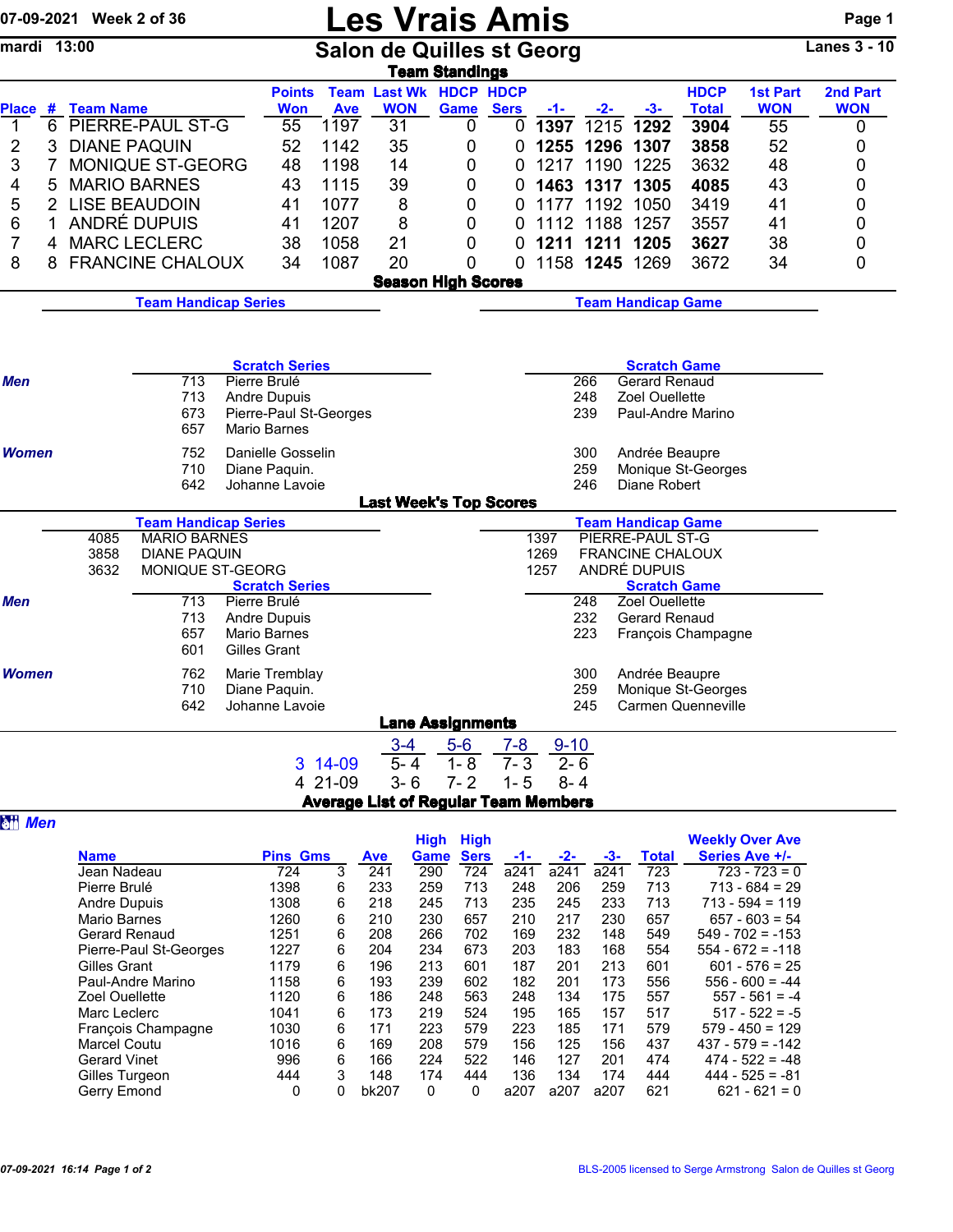| 07-09-2021 Week 2 of 36 |                                                            |                             |                     |                       |                        | <b>Les Vrais Amis</b>                       |                           |                  |               |                        |                                                    |                           |                  |                     |  |  |
|-------------------------|------------------------------------------------------------|-----------------------------|---------------------|-----------------------|------------------------|---------------------------------------------|---------------------------|------------------|---------------|------------------------|----------------------------------------------------|---------------------------|------------------|---------------------|--|--|
| mardi 13:00             |                                                            |                             |                     |                       |                        | <b>Salon de Quilles st Georg</b>            | <b>Team Standings</b>     |                  |               |                        |                                                    |                           |                  | <b>Lanes 3 - 10</b> |  |  |
|                         |                                                            |                             |                     | <b>Points</b>         |                        | <b>Team Last Wk HDCP HDCP</b>               |                           |                  |               |                        |                                                    | <b>HDCP</b>               | <b>1st Part</b>  | 2nd Part            |  |  |
| $\overline{1}$          | Place # Team Name                                          |                             |                     | <b>Won</b><br>55      | <b>Ave</b><br>1197     | <b>WON</b><br>31                            | Game<br>0                 | <b>Sers</b><br>0 | $-1-$<br>1397 | $-2-$<br>1215          | $-3-$<br>1292                                      | <b>Total</b><br>3904      | <b>WON</b><br>55 | <b>WON</b><br>0     |  |  |
| 2                       | <b>PIERRE-PAUL ST-G</b><br>6<br>3<br><b>DIANE PAQUIN</b>   |                             |                     |                       | 1142                   | 35                                          | 0                         | 0                | 1255          | 1296                   | 1307                                               | 3858                      | 52               | 0                   |  |  |
| 3                       | MONIQUE ST-GEORG<br>7                                      |                             |                     | 52<br>48              | 1198                   | 14                                          | 0                         | 0                | 1217          | 1190                   | 1225                                               | 3632                      | 48               | 0                   |  |  |
| 4                       | <b>MARIO BARNES</b><br>5                                   |                             |                     | 43                    | 1115                   | 39                                          | 0                         | 0                | 1463          | 1317                   | 1305                                               | 4085                      | 43               | 0                   |  |  |
| 5                       | <b>LISE BEAUDOIN</b><br>$\overline{2}$                     |                             |                     | 41                    | 1077                   | 8                                           | 0                         | 0                | 1177          | 1192                   | 1050                                               | 3419                      | 41               | 0                   |  |  |
| 6                       | ANDRÉ DUPUIS<br>$\mathbf{1}$                               |                             |                     |                       | 1207                   | 8                                           | 0                         | 0                | 1112          | 1188                   | 1257                                               | 3557                      | 41               | 0                   |  |  |
| 7<br>4                  |                                                            | <b>MARC LECLERC</b>         |                     | 38                    | 1058                   | 21                                          | 0                         | 0                |               | 1211 1211              | 1205                                               | 3627                      | 38               | 0                   |  |  |
| 8<br>8                  |                                                            | <b>FRANCINE CHALOUX</b>     |                     | 34                    | 1087                   | 20                                          | 0                         | $\Omega$         |               |                        | 1158 1245 1269                                     | 3672                      | 34               | 0                   |  |  |
|                         |                                                            |                             |                     |                       |                        | <b>Season High Scores</b>                   |                           |                  |               |                        |                                                    |                           |                  |                     |  |  |
|                         |                                                            | <b>Team Handicap Series</b> |                     |                       |                        |                                             | <b>Team Handicap Game</b> |                  |               |                        |                                                    |                           |                  |                     |  |  |
|                         |                                                            |                             |                     |                       |                        |                                             |                           |                  |               |                        |                                                    |                           |                  |                     |  |  |
|                         |                                                            |                             |                     |                       |                        |                                             |                           |                  |               |                        |                                                    |                           |                  |                     |  |  |
|                         |                                                            |                             |                     | <b>Scratch Series</b> |                        |                                             |                           |                  |               |                        | <b>Scratch Game</b>                                |                           |                  |                     |  |  |
| <b>Men</b>              |                                                            | 713                         | Pierre Brulé        |                       |                        |                                             |                           |                  |               | 266<br>248             | <b>Gerard Renaud</b><br>Zoel Ouellette             |                           |                  |                     |  |  |
|                         |                                                            | 713<br>673                  | <b>Andre Dupuis</b> |                       | Pierre-Paul St-Georges |                                             |                           |                  |               | 239                    |                                                    | Paul-Andre Marino         |                  |                     |  |  |
|                         |                                                            | 657                         | <b>Mario Barnes</b> |                       |                        |                                             |                           |                  |               |                        |                                                    |                           |                  |                     |  |  |
| <b>Women</b>            |                                                            | 752                         | Danielle Gosselin   |                       |                        |                                             |                           |                  |               | 300                    | Andrée Beaupre                                     |                           |                  |                     |  |  |
|                         |                                                            | 710                         | Diane Paquin.       |                       |                        |                                             |                           |                  |               | 259                    |                                                    | Monique St-Georges        |                  |                     |  |  |
|                         |                                                            | 642                         | Johanne Lavoie      |                       |                        |                                             |                           |                  |               | 246                    | Diane Robert                                       |                           |                  |                     |  |  |
|                         |                                                            |                             |                     |                       |                        | <b>Last Week's Top Scores</b>               |                           |                  |               |                        | <b>Team Handicap Game</b>                          |                           |                  |                     |  |  |
|                         | <b>Team Handicap Series</b><br><b>MARIO BARNES</b><br>4085 |                             |                     |                       |                        |                                             |                           |                  |               |                        |                                                    |                           |                  |                     |  |  |
|                         | 3858                                                       | <b>DIANE PAQUIN</b>         |                     |                       |                        |                                             |                           |                  | 1397<br>1269  |                        | <b>PIERRE-PAUL ST-G</b><br><b>FRANCINE CHALOUX</b> |                           |                  |                     |  |  |
|                         | 3632                                                       | MONIQUE ST-GEORG            |                     |                       |                        |                                             |                           |                  | 1257          |                        | ANDRÉ DUPUIS                                       |                           |                  |                     |  |  |
| Men                     |                                                            | 713                         | Pierre Brulé        | <b>Scratch Series</b> |                        |                                             |                           |                  |               | 248                    | <b>Scratch Game</b><br>Zoel Ouellette              |                           |                  |                     |  |  |
|                         |                                                            | 713                         | <b>Andre Dupuis</b> |                       |                        |                                             |                           |                  |               | 232                    | <b>Gerard Renaud</b>                               |                           |                  |                     |  |  |
|                         |                                                            | 657                         | <b>Mario Barnes</b> |                       |                        |                                             |                           |                  |               | 223                    |                                                    | François Champagne        |                  |                     |  |  |
|                         |                                                            | 601                         | Gilles Grant        |                       |                        |                                             |                           |                  |               |                        |                                                    |                           |                  |                     |  |  |
| Women                   |                                                            | 762                         | Marie Tremblay      |                       |                        |                                             |                           |                  |               | 300                    | Andrée Beaupre                                     |                           |                  |                     |  |  |
|                         |                                                            | 710                         | Diane Paquin.       |                       |                        |                                             |                           |                  |               | 259<br>245             |                                                    | Monique St-Georges        |                  |                     |  |  |
|                         |                                                            | 642                         | Johanne Lavoie      |                       |                        |                                             | <b>Lane Assignments</b>   |                  |               |                        |                                                    | <b>Carmen Quenneville</b> |                  |                     |  |  |
|                         |                                                            |                             |                     |                       |                        | $3 - 4$                                     | $5-6$                     | $7 - 8$          | $9 - 10$      |                        |                                                    |                           |                  |                     |  |  |
|                         |                                                            |                             |                     |                       | 3 14-09                | $5 - 4$                                     | $1 - 8$                   | $7 - 3$          | $2 - 6$       |                        |                                                    |                           |                  |                     |  |  |
|                         |                                                            |                             |                     |                       | 4 21-09                | $3 - 6$                                     | $7 - 2$                   | $1 - 5$          | $8 - 4$       |                        |                                                    |                           |                  |                     |  |  |
|                         |                                                            |                             |                     |                       |                        | <b>Average List of Regular Team Members</b> |                           |                  |               |                        |                                                    |                           |                  |                     |  |  |
| <b>研 Men</b>            |                                                            |                             |                     |                       |                        |                                             |                           |                  |               |                        |                                                    |                           |                  |                     |  |  |
|                         |                                                            |                             |                     |                       |                        | <b>High High</b>                            |                           |                  |               | <b>Weekly Over Ave</b> |                                                    |                           |                  |                     |  |  |

|                        |                 |   |       | <b>High</b> | <b>High</b> |      |      |      |       | <b>Weekly Over Ave</b> |  |
|------------------------|-----------------|---|-------|-------------|-------------|------|------|------|-------|------------------------|--|
| <b>Name</b>            | <b>Pins Gms</b> |   | Ave   | <b>Game</b> | <b>Sers</b> | -1-  | -2-  | -3-  | Total | Series Ave +/-         |  |
| Jean Nadeau            | 724             | 3 | 241   | 290         | 724         | a241 | a241 | a241 | 723   | $723 - 723 = 0$        |  |
| Pierre Brulé           | 1398            | 6 | 233   | 259         | 713         | 248  | 206  | 259  | 713   | $713 - 684 = 29$       |  |
| <b>Andre Dupuis</b>    | 1308            | 6 | 218   | 245         | 713         | 235  | 245  | 233  | 713   | $713 - 594 = 119$      |  |
| Mario Barnes           | 1260            | 6 | 210   | 230         | 657         | 210  | 217  | 230  | 657   | $657 - 603 = 54$       |  |
| Gerard Renaud          | 1251            | 6 | 208   | 266         | 702         | 169  | 232  | 148  | 549   | $549 - 702 = -153$     |  |
| Pierre-Paul St-Georges | 1227            | 6 | 204   | 234         | 673         | 203  | 183  | 168  | 554   | $554 - 672 = -118$     |  |
| Gilles Grant           | 1179            | 6 | 196   | 213         | 601         | 187  | 201  | 213  | 601   | $601 - 576 = 25$       |  |
| Paul-Andre Marino      | 1158            | 6 | 193   | 239         | 602         | 182  | 201  | 173  | 556   | $556 - 600 = -44$      |  |
| <b>Zoel Ouellette</b>  | 1120            | 6 | 186   | 248         | 563         | 248  | 134  | 175  | 557   | $557 - 561 = -4$       |  |
| Marc Leclerc           | 1041            | 6 | 173   | 219         | 524         | 195  | 165  | 157  | 517   | $517 - 522 = -5$       |  |
| Francois Champagne     | 1030            | 6 | 171   | 223         | 579         | 223  | 185  | 171  | 579   | $579 - 450 = 129$      |  |
| Marcel Coutu           | 1016            | 6 | 169   | 208         | 579         | 156  | 125  | 156  | 437   | $437 - 579 = -142$     |  |
| <b>Gerard Vinet</b>    | 996             | 6 | 166   | 224         | 522         | 146  | 127  | 201  | 474   | $474 - 522 = -48$      |  |
| Gilles Turgeon         | 444             | 3 | 148   | 174         | 444         | 136  | 134  | 174  | 444   | $444 - 525 = -81$      |  |
| Gerry Emond            | 0               | 0 | bk207 | 0           | 0           | a207 | a207 | a207 | 621   | $621 - 621 = 0$        |  |